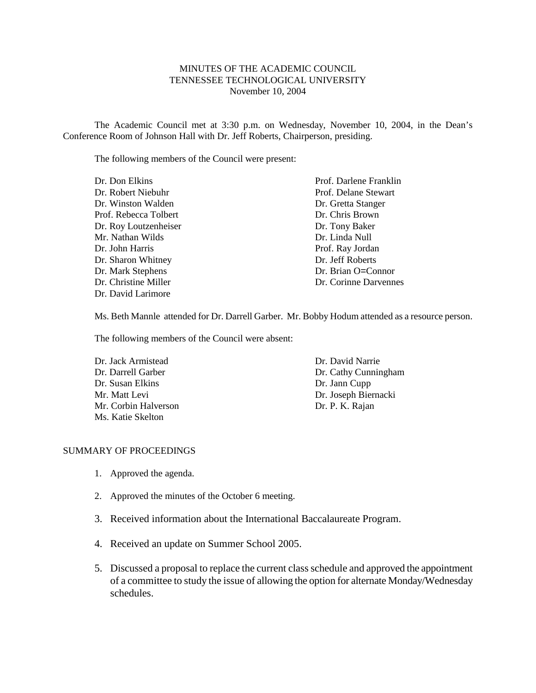### MINUTES OF THE ACADEMIC COUNCIL TENNESSEE TECHNOLOGICAL UNIVERSITY November 10, 2004

The Academic Council met at 3:30 p.m. on Wednesday, November 10, 2004, in the Dean's Conference Room of Johnson Hall with Dr. Jeff Roberts, Chairperson, presiding.

The following members of the Council were present:

| Dr. Don Elkins        | Prof. Darlene Franklin |
|-----------------------|------------------------|
| Dr. Robert Niebuhr    | Prof. Delane Stewart   |
| Dr. Winston Walden    | Dr. Gretta Stanger     |
| Prof. Rebecca Tolbert | Dr. Chris Brown        |
| Dr. Roy Loutzenheiser | Dr. Tony Baker         |
| Mr. Nathan Wilds      | Dr. Linda Null         |
| Dr. John Harris       | Prof. Ray Jordan       |
| Dr. Sharon Whitney    | Dr. Jeff Roberts       |
| Dr. Mark Stephens     | Dr. Brian O=Connor     |
| Dr. Christine Miller  | Dr. Corinne Darvennes  |
| Dr. David Larimore    |                        |

Ms. Beth Mannle attended for Dr. Darrell Garber. Mr. Bobby Hodum attended as a resource person.

The following members of the Council were absent:

Dr. Jack Armistead Dr. Darrell Garber Dr. Susan Elkins Mr. Matt Levi Mr. Corbin Halverson Ms. Katie Skelton

Dr. David Narrie Dr. Cathy Cunningham Dr. Jann Cupp Dr. Joseph Biernacki Dr. P. K. Rajan

#### SUMMARY OF PROCEEDINGS

- 1. Approved the agenda.
- 2. Approved the minutes of the October 6 meeting.
- 3. Received information about the International Baccalaureate Program.
- 4. Received an update on Summer School 2005.
- 5. Discussed a proposal to replace the current class schedule and approved the appointment of a committee to study the issue of allowing the option for alternate Monday/Wednesday schedules.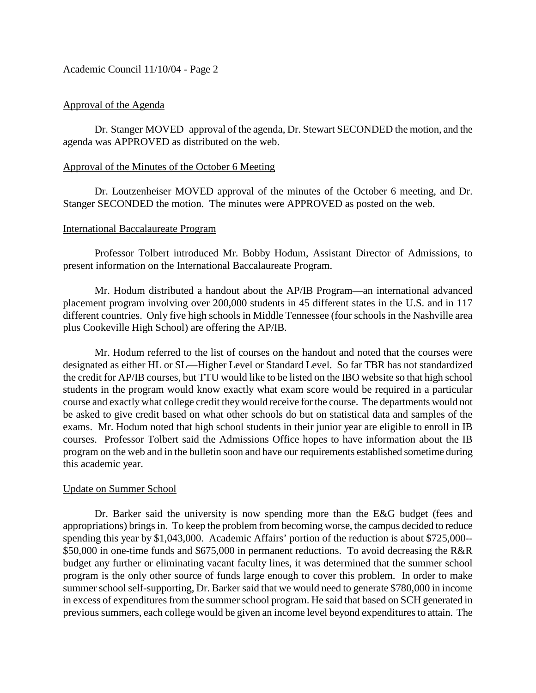Academic Council 11/10/04 - Page 2

### Approval of the Agenda

Dr. Stanger MOVED approval of the agenda, Dr. Stewart SECONDED the motion, and the agenda was APPROVED as distributed on the web.

#### Approval of the Minutes of the October 6 Meeting

Dr. Loutzenheiser MOVED approval of the minutes of the October 6 meeting, and Dr. Stanger SECONDED the motion. The minutes were APPROVED as posted on the web.

#### International Baccalaureate Program

Professor Tolbert introduced Mr. Bobby Hodum, Assistant Director of Admissions, to present information on the International Baccalaureate Program.

Mr. Hodum distributed a handout about the AP/IB Program—an international advanced placement program involving over 200,000 students in 45 different states in the U.S. and in 117 different countries. Only five high schools in Middle Tennessee (four schools in the Nashville area plus Cookeville High School) are offering the AP/IB.

Mr. Hodum referred to the list of courses on the handout and noted that the courses were designated as either HL or SL—Higher Level or Standard Level. So far TBR has not standardized the credit for AP/IB courses, but TTU would like to be listed on the IBO website so that high school students in the program would know exactly what exam score would be required in a particular course and exactly what college credit they would receive for the course. The departments would not be asked to give credit based on what other schools do but on statistical data and samples of the exams. Mr. Hodum noted that high school students in their junior year are eligible to enroll in IB courses. Professor Tolbert said the Admissions Office hopes to have information about the IB program on the web and in the bulletin soon and have our requirements established sometime during this academic year.

### Update on Summer School

Dr. Barker said the university is now spending more than the E&G budget (fees and appropriations) brings in. To keep the problem from becoming worse, the campus decided to reduce spending this year by \$1,043,000. Academic Affairs' portion of the reduction is about \$725,000-- \$50,000 in one-time funds and \$675,000 in permanent reductions. To avoid decreasing the R&R budget any further or eliminating vacant faculty lines, it was determined that the summer school program is the only other source of funds large enough to cover this problem. In order to make summer school self-supporting, Dr. Barker said that we would need to generate \$780,000 in income in excess of expenditures from the summer school program. He said that based on SCH generated in previous summers, each college would be given an income level beyond expenditures to attain. The